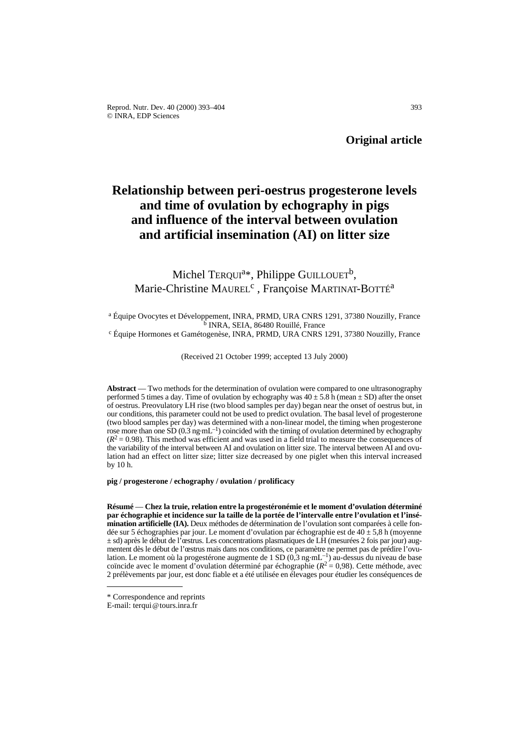# **Relationship between peri-oestrus progesterone levels and time of ovulation by echography in pigs and influence of the interval between ovulation and artificial insemination (AI) on litter size**

## Michel TERQUI<sup>a\*</sup>, Philippe GUILLOUET<sup>b</sup>, Marie-Christine MAUREL<sup>c</sup>, Françoise MARTINAT-BOTTÉ<sup>a</sup>

<sup>a</sup> Équipe Ovocytes et Développement, INRA, PRMD, URA CNRS 1291, 37380 Nouzilly, France <sup>16</sup> INRA, SEIA, 86480 Rouillé, France<br><sup>c</sup> Équipe Hormones et Gamétogenèse, INRA, PRMD, URA CNRS 1291, 37380 Nouzilly, France

(Received 21 October 1999; accepted 13 July 2000)

**Abstract** — Two methods for the determination of ovulation were compared to one ultrasonography performed 5 times a day. Time of ovulation by echography was  $40 \pm 5.8 \text{ h}$  (mean  $\pm$  SD) after the onset of oestrus. Preovulatory LH rise (two blood samples per day) began near the onset of oestrus but, in our conditions, this parameter could not be used to predict ovulation. The basal level of progesterone (two blood samples per day) was determined with a non-linear model, the timing when progesterone rose more than one SD  $(0.3 \text{ ng } \text{mL}^{-1})$  coincided with the timing of ovulation determined by echography  $(R^2 = 0.98)$ . This method was efficient and was used in a field trial to measure the consequences of the variability of the interval between AI and ovulation on litter size. The interval between AI and ovulation had an effect on litter size; litter size decreased by one piglet when this interval increased by 10 h.

**pig / progesterone / echography / ovulation / prolificacy**

**Résumé** — **Chez la truie, relation entre la progestéronémie et le moment d'ovulation déterminé par échographie et incidence sur la taille de la portée de l'intervalle entre l'ovulation et l'insémination artificielle (IA).** Deux méthodes de détermination de l'ovulation sont comparées à celle fondée sur 5 échographies par jour. Le moment d'ovulation par échographie est de  $40 \pm 5,8$  h (moyenne  $\pm$  sd) après le début de l'œstrus. Les concentrations plasmatiques de LH (mesurées 2 fois par jour) augmentent dès le début de l'œstrus mais dans nos conditions, ce paramètre ne permet pas de prédire l'ovulation. Le moment où la progestérone augmente de 1 SD (0,3 ng·mL<sup>-1</sup>) au-dessus du niveau de base coïncide avec le moment d'ovulation déterminé par échographie ( $R^2 = 0.98$ ). Cette méthode, avec 2 prélèvements par jour, est donc fiable et a été utilisée en élevages pour étudier les conséquences de

<sup>\*</sup> Correspondence and reprints

E-mail: terqui@tours.inra.fr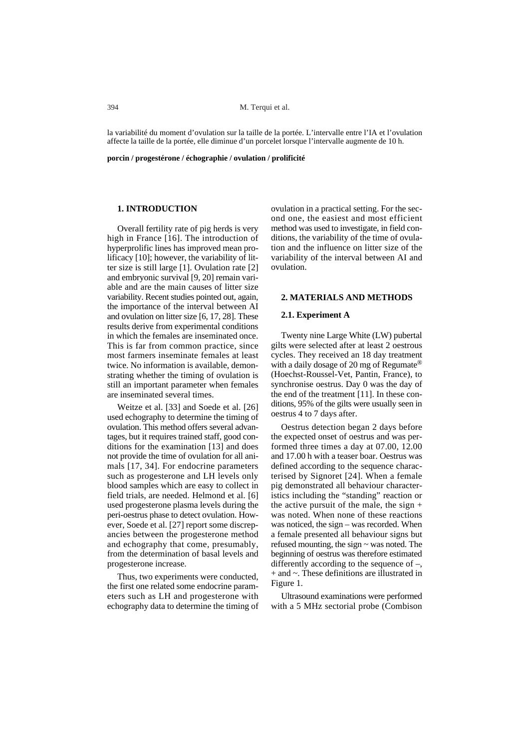la variabilité du moment d'ovulation sur la taille de la portée. L'intervalle entre l'IA et l'ovulation affecte la taille de la portée, elle diminue d'un porcelet lorsque l'intervalle augmente de 10 h.

**porcin / progestérone / échographie / ovulation / prolificité**

## **1. INTRODUCTION**

Overall fertility rate of pig herds is very high in France [16]. The introduction of hyperprolific lines has improved mean prolificacy [10]; however, the variability of litter size is still large [1]. Ovulation rate [2] and embryonic survival [9, 20] remain variable and are the main causes of litter size variability. Recent studies pointed out, again, the importance of the interval between AI and ovulation on litter size [6, 17, 28]. These results derive from experimental conditions in which the females are inseminated once. This is far from common practice, since most farmers inseminate females at least twice. No information is available, demonstrating whether the timing of ovulation is still an important parameter when females are inseminated several times.

Weitze et al. [33] and Soede et al. [26] used echography to determine the timing of ovulation. This method offers several advantages, but it requires trained staff, good conditions for the examination [13] and does not provide the time of ovulation for all animals [17, 34]. For endocrine parameters such as progesterone and LH levels only blood samples which are easy to collect in field trials, are needed. Helmond et al. [6] used progesterone plasma levels during the peri-oestrus phase to detect ovulation. However, Soede et al. [27] report some discrepancies between the progesterone method and echography that come, presumably, from the determination of basal levels and progesterone increase.

Thus, two experiments were conducted, the first one related some endocrine parameters such as LH and progesterone with echography data to determine the timing of

ovulation in a practical setting. For the second one, the easiest and most efficient method was used to investigate, in field conditions, the variability of the time of ovulation and the influence on litter size of the variability of the interval between AI and ovulation.

### **2. MATERIALS AND METHODS**

#### **2.1. Experiment A**

Twenty nine Large White (LW) pubertal gilts were selected after at least 2 oestrous cycles. They received an 18 day treatment with a daily dosage of 20 mg of Regumate<sup>®</sup> (Hoechst-Roussel-Vet, Pantin, France), to synchronise oestrus. Day 0 was the day of the end of the treatment [11]. In these conditions, 95% of the gilts were usually seen in oestrus 4 to 7 days after.

Oestrus detection began 2 days before the expected onset of oestrus and was performed three times a day at 07.00, 12.00 and 17.00 h with a teaser boar. Oestrus was defined according to the sequence characterised by Signoret [24]. When a female pig demonstrated all behaviour characteristics including the "standing" reaction or the active pursuit of the male, the sign  $+$ was noted. When none of these reactions was noticed, the sign – was recorded. When a female presented all behaviour signs but refused mounting, the sign ~ was noted. The beginning of oestrus was therefore estimated differently according to the sequence of –, + and ~. These definitions are illustrated in Figure 1.

Ultrasound examinations were performed with a 5 MHz sectorial probe (Combison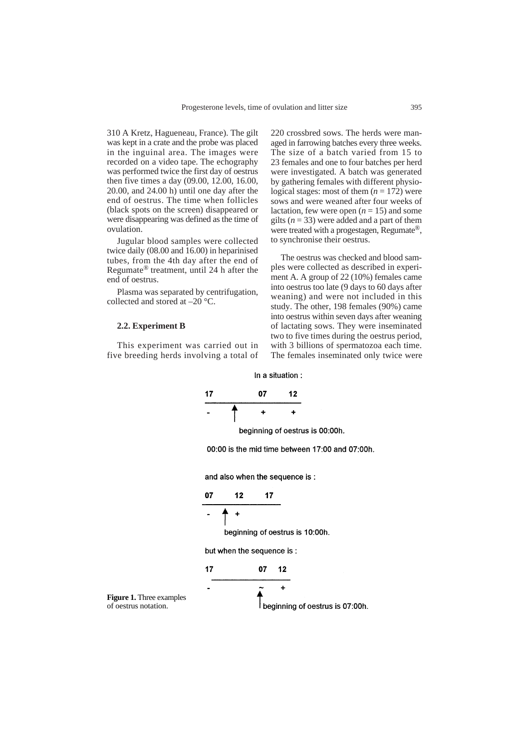310 A Kretz, Hagueneau, France). The gilt was kept in a crate and the probe was placed in the inguinal area. The images were recorded on a video tape. The echography was performed twice the first day of oestrus then five times a day (09.00, 12.00, 16.00, 20.00, and 24.00 h) until one day after the end of oestrus. The time when follicles (black spots on the screen) disappeared or were disappearing was defined as the time of ovulation.

Jugular blood samples were collected twice daily (08.00 and 16.00) in heparinised tubes, from the 4th day after the end of Regumate® treatment, until 24 h after the end of oestrus.

Plasma was separated by centrifugation, collected and stored at –20 °C.

#### **2.2. Experiment B**

This experiment was carried out in five breeding herds involving a total of 220 crossbred sows. The herds were managed in farrowing batches every three weeks. The size of a batch varied from 15 to 23 females and one to four batches per herd were investigated. A batch was generated by gathering females with different physiological stages: most of them  $(n = 172)$  were sows and were weaned after four weeks of lactation, few were open  $(n = 15)$  and some gilts  $(n = 33)$  were added and a part of them were treated with a progestagen, Regumate®, to synchronise their oestrus.

The oestrus was checked and blood samples were collected as described in experiment A. A group of 22 (10%) females came into oestrus too late (9 days to 60 days after weaning) and were not included in this study. The other, 198 females (90%) came into oestrus within seven days after weaning of lactating sows. They were inseminated two to five times during the oestrus period, with 3 billions of spermatozoa each time. The females inseminated only twice were

In a situation :

$$
\begin{array}{cccc}\n17 & & & 07 & & 12 \\
& & & & & \\
\hline\n& & + & & + \\
\end{array}
$$

beginning of oestrus is 00:00h.

00:00 is the mid time between 17:00 and 07:00h.

and also when the sequence is :

$$
\begin{array}{c}\n 07 \quad 12 \quad 17 \\
 \hline\n \end{array}
$$

$$
-\mathbf{A} +
$$

beginning of oestrus is 10:00h.

but when the sequence is:

17 07 12  
\n
$$
-\overbrace{\qquad \qquad }^{2}
$$
\n
$$
\overbrace{\qquad \qquad }^{2}
$$
\n
$$
\overbrace{\qquad \qquad }^{2}
$$
\n
$$
\qquad \qquad \overbrace{\qquad \qquad }^{2}
$$
\n
$$
\qquad \qquad \overbrace{\qquad \qquad }^{2}
$$
\n
$$
\qquad \qquad \overbrace{\qquad \qquad }^{2}
$$
\n
$$
\qquad \qquad \overbrace{\qquad \qquad }^{2}
$$
\n
$$
\qquad \qquad \overbrace{\qquad \qquad }^{2}
$$
\n
$$
\qquad \qquad \overbrace{\qquad \qquad }^{2}
$$
\n
$$
\qquad \qquad \overbrace{\qquad \qquad }^{2}
$$
\n
$$
\qquad \qquad \overbrace{\qquad \qquad }^{2}
$$
\n
$$
\qquad \qquad \overbrace{\qquad \qquad }^{2}
$$
\n
$$
\qquad \qquad \overbrace{\qquad \qquad }^{2}
$$
\n
$$
\qquad \qquad \overbrace{\qquad \qquad }^{2}
$$

**Figure 1.** Three examples of oestrus notation.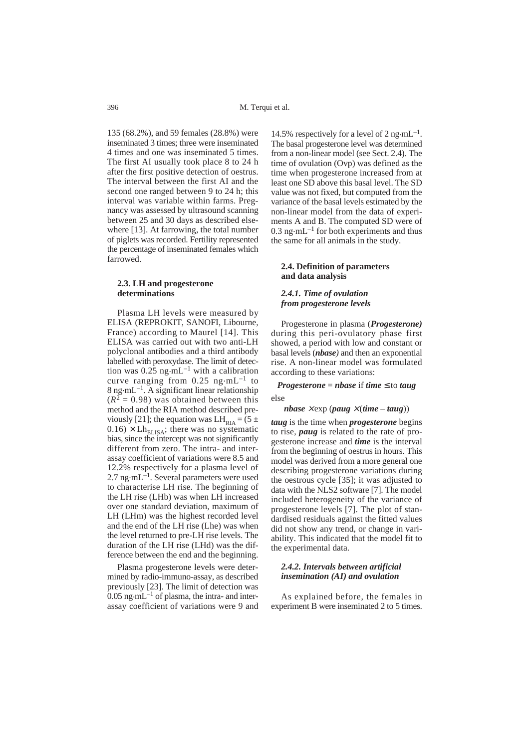135 (68.2%), and 59 females (28.8%) were inseminated 3 times; three were inseminated 4 times and one was inseminated 5 times. The first AI usually took place 8 to 24 h after the first positive detection of oestrus. The interval between the first AI and the second one ranged between 9 to 24 h; this interval was variable within farms. Pregnancy was assessed by ultrasound scanning between 25 and 30 days as described elsewhere [13]. At farrowing, the total number of piglets was recorded. Fertility represented the percentage of inseminated females which farrowed.

#### **2.3. LH and progesterone determinations**

Plasma LH levels were measured by ELISA (REPROKIT, SANOFI, Libourne, France) according to Maurel [14]. This ELISA was carried out with two anti-LH polyclonal antibodies and a third antibody labelled with peroxydase. The limit of detection was  $0.25$  ng $\cdot$ mL<sup>-1</sup> with a calibration curve ranging from  $0.25$  ng $\cdot$ mL<sup>-1</sup> to  $8 \text{ ng} \cdot \text{m}$ L<sup>-1</sup>. A significant linear relationship  $(R<sup>2</sup> = 0.98)$  was obtained between this method and the RIA method described previously [21]; the equation was  $LH_{RIA} = (5 \pm$  $0.16$ ) × Lh<sub>ELISA</sub>; there was no systematic bias, since the intercept was not significantly different from zero. The intra- and interassay coefficient of variations were 8.5 and 12.2% respectively for a plasma level of 2.7 ng·mL<sup>-1</sup>. Several parameters were used to characterise LH rise. The beginning of the LH rise (LHb) was when LH increased over one standard deviation, maximum of LH (LHm) was the highest recorded level and the end of the LH rise (Lhe) was when the level returned to pre-LH rise levels. The duration of the LH rise (LHd) was the difference between the end and the beginning.

Plasma progesterone levels were determined by radio-immuno-assay, as described previously [23]. The limit of detection was  $0.05$  ng $\cdot$ mL<sup>-1</sup> of plasma, the intra- and interassay coefficient of variations were 9 and

14.5% respectively for a level of 2 ng $\cdot$ mL<sup>-1</sup>. The basal progesterone level was determined from a non-linear model (see Sect. 2.4). The time of ovulation (Ovp) was defined as the time when progesterone increased from at least one SD above this basal level. The SD value was not fixed, but computed from the variance of the basal levels estimated by the non-linear model from the data of experiments A and B. The computed SD were of 0.3 ng $\cdot$ mL<sup>-1</sup> for both experiments and thus the same for all animals in the study.

## **2.4. Definition of parameters and data analysis**

#### *2.4.1. Time of ovulation from progesterone levels*

Progesterone in plasma (*Progesterone)* during this peri-ovulatory phase first showed, a period with low and constant or basal levels (*nbase)* and then an exponential rise. A non-linear model was formulated according to these variations:

## *Progesterone* = *nbase* if *time*  $\leq$  to *taug* else

#### $nbase \times exp$  ( $paug \times (time - taug)$ )

*taug* is the time when *progesterone* begins to rise, *paug* is related to the rate of progesterone increase and *time* is the interval from the beginning of oestrus in hours. This model was derived from a more general one describing progesterone variations during the oestrous cycle [35]; it was adjusted to data with the NLS2 software [7]. The model included heterogeneity of the variance of progesterone levels [7]. The plot of standardised residuals against the fitted values did not show any trend, or change in variability. This indicated that the model fit to the experimental data.

## *2.4.2. Intervals between artificial insemination (AI) and ovulation*

As explained before, the females in experiment B were inseminated 2 to 5 times.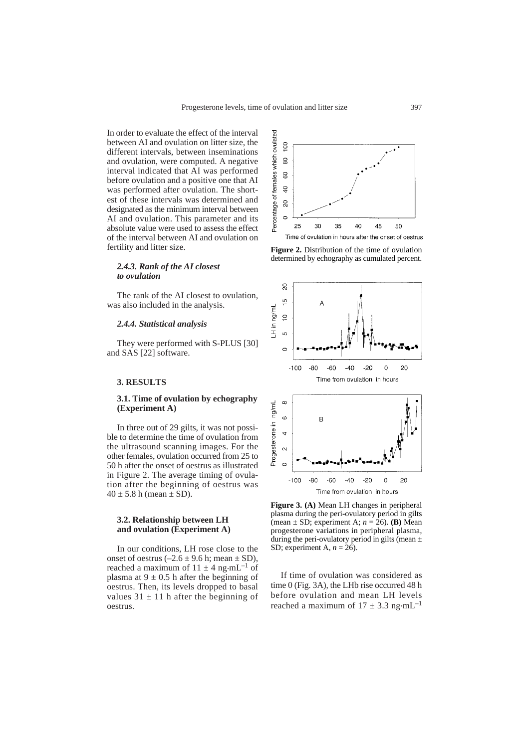In order to evaluate the effect of the interval between AI and ovulation on litter size, the different intervals, between inseminations and ovulation, were computed. A negative interval indicated that AI was performed before ovulation and a positive one that AI was performed after ovulation. The shortest of these intervals was determined and designated as the minimum interval between AI and ovulation. This parameter and its absolute value were used to assess the effect of the interval between AI and ovulation on fertility and litter size.

#### *2.4.3. Rank of the AI closest to ovulation*

The rank of the AI closest to ovulation, was also included in the analysis.

#### *2.4.4. Statistical analysis*

They were performed with S-PLUS [30] and SAS [22] software.

#### **3. RESULTS**

## **3.1. Time of ovulation by echography (Experiment A)**

In three out of 29 gilts, it was not possible to determine the time of ovulation from the ultrasound scanning images. For the other females, ovulation occurred from 25 to 50 h after the onset of oestrus as illustrated in Figure 2. The average timing of ovulation after the beginning of oestrus was  $40 \pm 5.8$  h (mean  $\pm$  SD).

## **3.2. Relationship between LH and ovulation (Experiment A)**

In our conditions, LH rose close to the onset of oestrus  $(-2.6 \pm 9.6 \text{ h}; \text{mean} \pm \text{SD})$ , reached a maximum of  $11 \pm 4$  ng $\cdot$ mL<sup>-1</sup> of plasma at  $9 \pm 0.5$  h after the beginning of oestrus. Then, its levels dropped to basal values  $31 \pm 11$  h after the beginning of oestrus.







**Figure 3. (A)** Mean LH changes in peripheral plasma during the peri-ovulatory period in gilts (mean ± SD; experiment A; *n* = 26). **(B)** Mean progesterone variations in peripheral plasma, during the peri-ovulatory period in gilts (mean  $\pm$ SD; experiment A, *n* = 26).

If time of ovulation was considered as time 0 (Fig. 3A), the LHb rise occurred 48 h before ovulation and mean LH levels reached a maximum of  $17 \pm 3.3$  ng $\cdot$ mL<sup>-1</sup>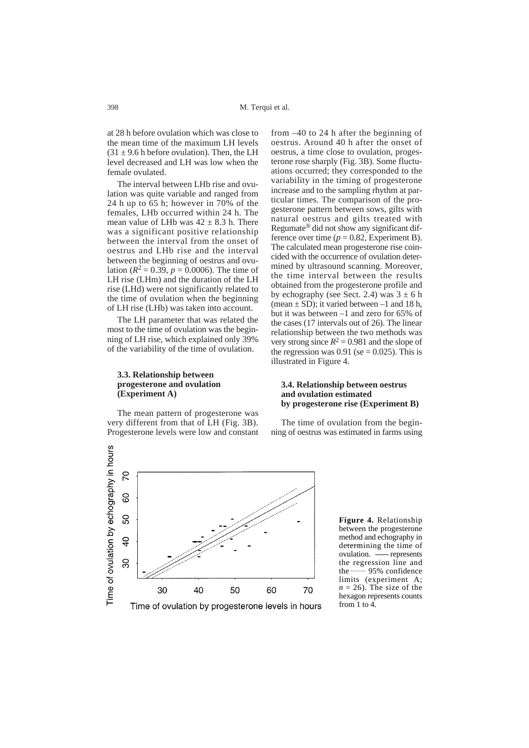at 28 h before ovulation which was close to the mean time of the maximum LH levels  $(31 + 9.6)$  h before ovulation). Then, the LH level decreased and LH was low when the female ovulated.

The interval between LHb rise and ovulation was quite variable and ranged from 24 h up to 65 h; however in 70% of the females, LHb occurred within 24 h. The mean value of LHb was  $42 + 8.3$  h. There was a significant positive relationship between the interval from the onset of oestrus and LHb rise and the interval between the beginning of oestrus and ovulation ( $R^2 = 0.39$ ,  $p = 0.0006$ ). The time of LH rise (LHm) and the duration of the LH rise (LHd) were not significantly related to the time of ovulation when the beginning of LH rise (LHb) was taken into account.

The LH parameter that was related the most to the time of ovulation was the beginning of LH rise, which explained only 39% of the variability of the time of ovulation.

## **3.3. Relationship between progesterone and ovulation (Experiment A)**

The mean pattern of progesterone was very different from that of LH (Fig. 3B). Progesterone levels were low and constant



from –40 to 24 h after the beginning of oestrus. Around 40 h after the onset of oestrus, a time close to ovulation, progesterone rose sharply (Fig. 3B). Some fluctuations occurred; they corresponded to the variability in the timing of progesterone increase and to the sampling rhythm at particular times. The comparison of the progesterone pattern between sows, gilts with natural oestrus and gilts treated with Regumate® did not show any significant difference over time  $(p = 0.82,$  Experiment B). The calculated mean progesterone rise coincided with the occurrence of ovulation determined by ultrasound scanning. Moreover, the time interval between the results obtained from the progesterone profile and by echography (see Sect. 2.4) was  $3 \pm 6$  h (mean  $\pm$  SD); it varied between  $-1$  and 18 h, but it was between –1 and zero for 65% of the cases (17 intervals out of 26). The linear relationship between the two methods was very strong since  $R^2 = 0.981$  and the slope of the regression was  $0.91$  (se = 0.025). This is illustrated in Figure 4.

## **3.4. Relationship between oestrus and ovulation estimated by progesterone rise (Experiment B)**

The time of ovulation from the beginning of oestrus was estimated in farms using

**Figure 4.** Relationship between the progesterone method and echography in determining the time of ovulation. - represents the regression line and the 95% confidence limits (experiment A;  $n = 26$ ). The size of the hexagon represents counts from 1 to 4.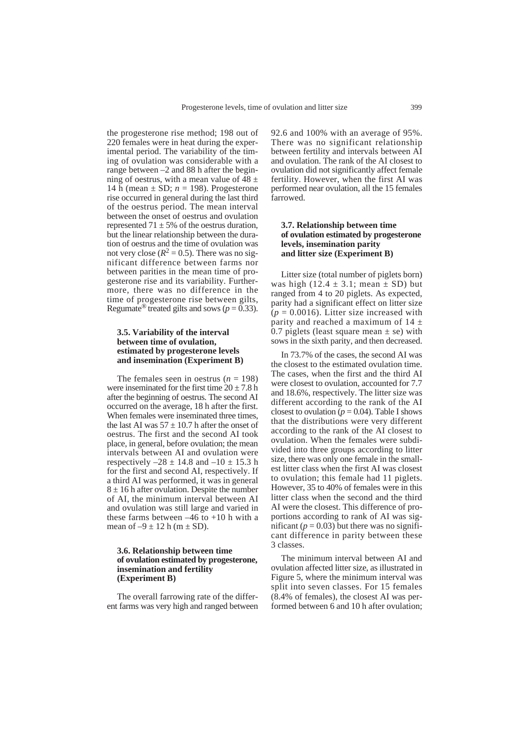the progesterone rise method; 198 out of 220 females were in heat during the experimental period. The variability of the timing of ovulation was considerable with a range between –2 and 88 h after the beginning of oestrus, with a mean value of  $\overline{48} \pm$ 14 h (mean  $\pm$  SD;  $n = 198$ ). Progesterone rise occurred in general during the last third of the oestrus period. The mean interval between the onset of oestrus and ovulation represented  $71 \pm 5\%$  of the oestrus duration, but the linear relationship between the duration of oestrus and the time of ovulation was not very close ( $R^2 = 0.5$ ). There was no significant difference between farms nor between parities in the mean time of progesterone rise and its variability. Furthermore, there was no difference in the time of progesterone rise between gilts, Regumate<sup>®</sup> treated gilts and sows ( $p = 0.33$ ).

## **3.5. Variability of the interval between time of ovulation, estimated by progesterone levels and insemination (Experiment B)**

The females seen in oestrus  $(n = 198)$ were inseminated for the first time  $20 \pm 7.8$  h after the beginning of oestrus. The second AI occurred on the average, 18 h after the first. When females were inseminated three times, the last AI was  $57 \pm 10.7$  h after the onset of oestrus. The first and the second AI took place, in general, before ovulation; the mean intervals between AI and ovulation were respectively  $-28 \pm 14.8$  and  $-10 \pm 15.3$  h for the first and second AI, respectively. If a third AI was performed, it was in general  $8 \pm 16$  h after ovulation. Despite the number of AI, the minimum interval between AI and ovulation was still large and varied in these farms between  $-46$  to  $+10$  h with a mean of  $-9 \pm 12$  h (m  $\pm$  SD).

### **3.6. Relationship between time of ovulation estimated by progesterone, insemination and fertility (Experiment B)**

The overall farrowing rate of the different farms was very high and ranged between

92.6 and 100% with an average of 95%. There was no significant relationship between fertility and intervals between AI and ovulation. The rank of the AI closest to ovulation did not significantly affect female fertility. However, when the first AI was performed near ovulation, all the 15 females **farrowed** 

## **3.7. Relationship between time of ovulation estimated by progesterone levels, insemination parity and litter size (Experiment B)**

Litter size (total number of piglets born) was high  $(12.4 \pm 3.1)$ ; mean  $\pm$  SD) but ranged from 4 to 20 piglets. As expected, parity had a significant effect on litter size  $(p = 0.0016)$ . Litter size increased with parity and reached a maximum of  $14 \pm$ 0.7 piglets (least square mean  $\pm$  se) with sows in the sixth parity, and then decreased.

In 73.7% of the cases, the second AI was the closest to the estimated ovulation time. The cases, when the first and the third AI were closest to ovulation, accounted for 7.7 and 18.6%, respectively. The litter size was different according to the rank of the AI closest to ovulation ( $p = 0.04$ ). Table I shows that the distributions were very different according to the rank of the AI closest to ovulation. When the females were subdivided into three groups according to litter size, there was only one female in the smallest litter class when the first AI was closest to ovulation; this female had 11 piglets. However, 35 to 40% of females were in this litter class when the second and the third AI were the closest. This difference of proportions according to rank of AI was significant ( $p = 0.03$ ) but there was no significant difference in parity between these 3 classes.

The minimum interval between AI and ovulation affected litter size, as illustrated in Figure 5, where the minimum interval was split into seven classes. For 15 females (8.4% of females), the closest AI was performed between 6 and 10 h after ovulation;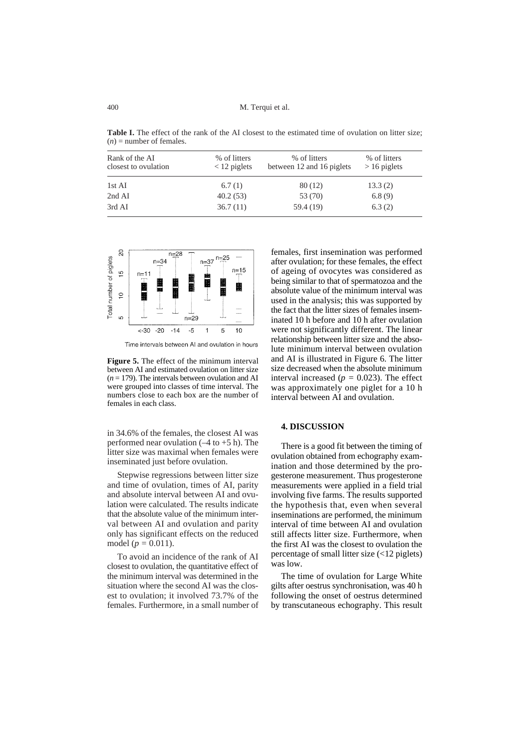M. Terqui et al.

**Table I.** The effect of the rank of the AI closest to the estimated time of ovulation on litter size;  $(n)$  = number of females.

| Rank of the AI<br>closest to ovulation | % of litters<br>$<$ 12 piglets | % of litters<br>between 12 and 16 piglets | % of litters<br>$>16$ piglets |
|----------------------------------------|--------------------------------|-------------------------------------------|-------------------------------|
| 1st AI                                 | 6.7(1)                         | 80 (12)                                   | 13.3(2)                       |
| 2nd AI                                 | 40.2(53)                       | 53 (70)                                   | 6.8(9)                        |
| 3rd AI                                 | 36.7(11)                       | 59.4 (19)                                 | 6.3(2)                        |



Time intervals between AI and ovulation in hours

**Figure 5.** The effect of the minimum interval between AI and estimated ovulation on litter size  $(n = 179)$ . The intervals between ovulation and AI were grouped into classes of time interval. The numbers close to each box are the number of females in each class.

in 34.6% of the females, the closest AI was performed near ovulation  $(-4 \text{ to } +5 \text{ h})$ . The litter size was maximal when females were inseminated just before ovulation.

Stepwise regressions between litter size and time of ovulation, times of AI, parity and absolute interval between AI and ovulation were calculated. The results indicate that the absolute value of the minimum interval between AI and ovulation and parity only has significant effects on the reduced model (*p =* 0.011).

To avoid an incidence of the rank of AI closest to ovulation, the quantitative effect of the minimum interval was determined in the situation where the second AI was the closest to ovulation; it involved 73.7% of the females. Furthermore, in a small number of

females, first insemination was performed after ovulation; for these females, the effect of ageing of ovocytes was considered as being similar to that of spermatozoa and the absolute value of the minimum interval was used in the analysis; this was supported by the fact that the litter sizes of females inseminated 10 h before and 10 h after ovulation were not significantly different. The linear relationship between litter size and the absolute minimum interval between ovulation and AI is illustrated in Figure 6. The litter size decreased when the absolute minimum interval increased ( $p = 0.023$ ). The effect was approximately one piglet for a 10 h interval between AI and ovulation.

## **4. DISCUSSION**

There is a good fit between the timing of ovulation obtained from echography examination and those determined by the progesterone measurement. Thus progesterone measurements were applied in a field trial involving five farms. The results supported the hypothesis that, even when several inseminations are performed, the minimum interval of time between AI and ovulation still affects litter size. Furthermore, when the first AI was the closest to ovulation the percentage of small litter size (<12 piglets) was low.

The time of ovulation for Large White gilts after oestrus synchronisation, was 40 h following the onset of oestrus determined by transcutaneous echography. This result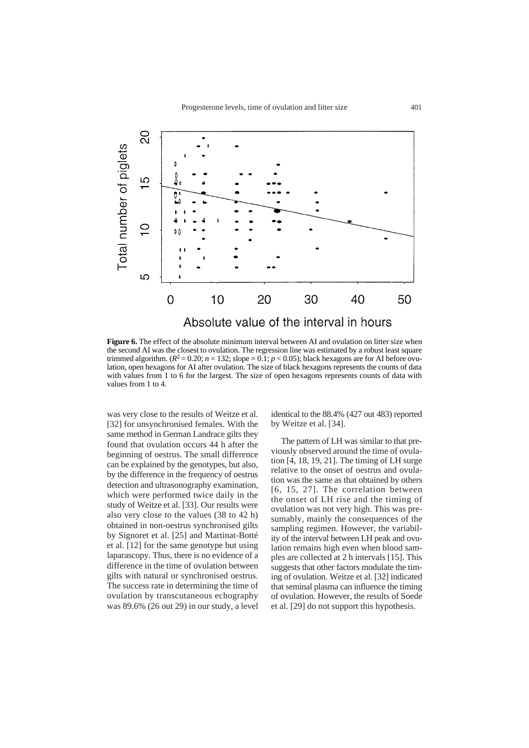

**Figure 6.** The effect of the absolute minimum interval between AI and ovulation on litter size when the second AI was the closest to ovulation. The regression line was estimated by a robust least square trimmed algorithm.  $(R^2 = 0.20; n = 132;$  slope  $= 0.1; p < 0.05$ ; black hexagons are for AI before ovulation, open hexagons for AI after ovulation. The size of black hexagons represents the counts of data with values from 1 to 6 for the largest. The size of open hexagons represents counts of data with values from 1 to 4.

was very close to the results of Weitze et al. [32] for unsynchronised females. With the same method in German Landrace gilts they found that ovulation occurs 44 h after the beginning of oestrus. The small difference can be explained by the genotypes, but also, by the difference in the frequency of oestrus detection and ultrasonography examination, which were performed twice daily in the study of Weitze et al. [33]. Our results were also very close to the values (38 to 42 h) obtained in non-oestrus synchronised gilts by Signoret et al. [25] and Martinat-Botté et al. [12] for the same genotype but using laparascopy. Thus, there is no evidence of a difference in the time of ovulation between gilts with natural or synchronised oestrus. The success rate in determining the time of ovulation by transcutaneous echography was 89.6% (26 out 29) in our study, a level

identical to the 88.4% (427 out 483) reported by Weitze et al. [34].

The pattern of LH was similar to that previously observed around the time of ovulation [4, 18, 19, 21]. The timing of LH surge relative to the onset of oestrus and ovulation was the same as that obtained by others [6, 15, 27]. The correlation between the onset of LH rise and the timing of ovulation was not very high. This was presumably, mainly the consequences of the sampling regimen. However, the variability of the interval between LH peak and ovulation remains high even when blood samples are collected at 2 h intervals [15]. This suggests that other factors modulate the timing of ovulation. Weitze et al. [32] indicated that seminal plasma can influence the timing of ovulation. However, the results of Soede et al. [29] do not support this hypothesis.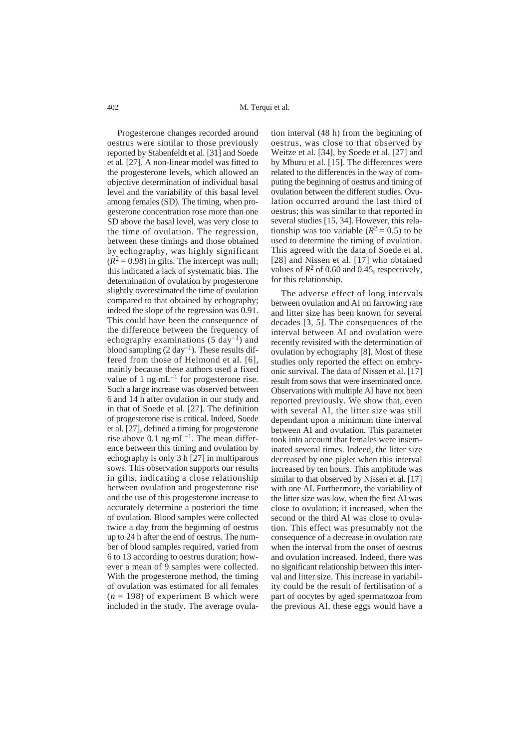Progesterone changes recorded around oestrus were similar to those previously reported by Stabenfeldt et al. [31] and Soede et al. [27]. A non-linear model was fitted to the progesterone levels, which allowed an objective determination of individual basal level and the variability of this basal level among females (SD). The timing, when progesterone concentration rose more than one SD above the basal level, was very close to the time of ovulation. The regression, between these timings and those obtained by echography, was highly significant  $(R^2 = 0.98)$  in gilts. The intercept was null; this indicated a lack of systematic bias. The determination of ovulation by progesterone slightly overestimated the time of ovulation compared to that obtained by echography; indeed the slope of the regression was 0.91. This could have been the consequence of the difference between the frequency of echography examinations  $(5 \text{ day}^{-1})$  and blood sampling  $(2 \text{ day}^{-1})$ . These results differed from those of Helmond et al. [6], mainly because these authors used a fixed value of 1 ng $\cdot$ mL<sup>-1</sup> for progesterone rise. Such a large increase was observed between 6 and 14 h after ovulation in our study and in that of Soede et al. [27]. The definition of progesterone rise is critical. Indeed, Soede et al. [27], defined a timing for progesterone rise above  $0.1$  ng $\cdot$ mL<sup>-1</sup>. The mean difference between this timing and ovulation by echography is only 3 h [27] in multiparous sows. This observation supports our results in gilts, indicating a close relationship between ovulation and progesterone rise and the use of this progesterone increase to accurately determine a posteriori the time of ovulation. Blood samples were collected twice a day from the beginning of oestrus up to 24 h after the end of oestrus. The number of blood samples required, varied from 6 to 13 according to oestrus duration; however a mean of 9 samples were collected. With the progesterone method, the timing of ovulation was estimated for all females  $(n = 198)$  of experiment B which were included in the study. The average ovula-

tion interval (48 h) from the beginning of oestrus, was close to that observed by Weitze et al. [34], by Soede et al. [27] and by Mburu et al. [15]. The differences were related to the differences in the way of computing the beginning of oestrus and timing of ovulation between the different studies. Ovulation occurred around the last third of oestrus; this was similar to that reported in several studies [15, 34]. However, this relationship was too variable  $(R^2 = 0.5)$  to be used to determine the timing of ovulation. This agreed with the data of Soede et al. [28] and Nissen et al. [17] who obtained values of  $R^2$  of 0.60 and 0.45, respectively, for this relationship.

The adverse effect of long intervals between ovulation and AI on farrowing rate and litter size has been known for several decades [3, 5]. The consequences of the interval between AI and ovulation were recently revisited with the determination of ovulation by echography [8]. Most of these studies only reported the effect on embryonic survival. The data of Nissen et al. [17] result from sows that were inseminated once. Observations with multiple AI have not been reported previously. We show that, even with several AI, the litter size was still dependant upon a minimum time interval between AI and ovulation. This parameter took into account that females were inseminated several times. Indeed, the litter size decreased by one piglet when this interval increased by ten hours. This amplitude was similar to that observed by Nissen et al. [17] with one AI. Furthermore, the variability of the litter size was low, when the first AI was close to ovulation; it increased, when the second or the third AI was close to ovulation. This effect was presumably not the consequence of a decrease in ovulation rate when the interval from the onset of oestrus and ovulation increased. Indeed, there was no significant relationship between this interval and litter size. This increase in variability could be the result of fertilisation of a part of oocytes by aged spermatozoa from the previous AI, these eggs would have a

402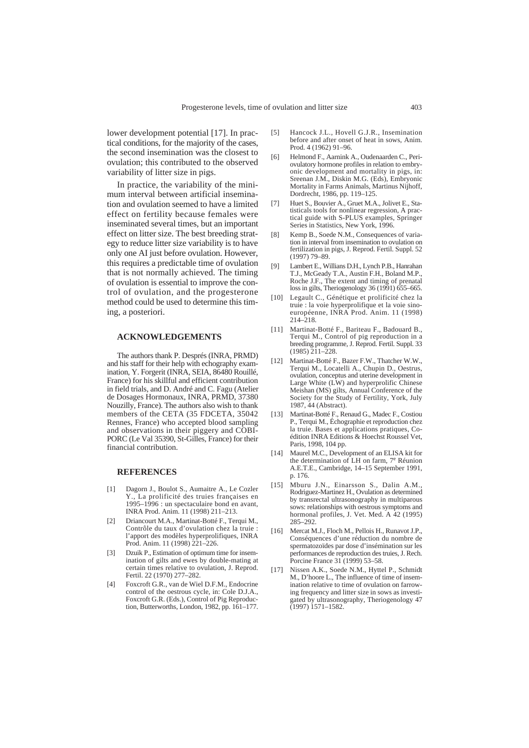lower development potential [17]. In practical conditions, for the majority of the cases, the second insemination was the closest to ovulation; this contributed to the observed variability of litter size in pigs.

In practice, the variability of the minimum interval between artificial insemination and ovulation seemed to have a limited effect on fertility because females were inseminated several times, but an important effect on litter size. The best breeding strategy to reduce litter size variability is to have only one AI just before ovulation. However, this requires a predictable time of ovulation that is not normally achieved. The timing of ovulation is essential to improve the control of ovulation, and the progesterone method could be used to determine this timing, a posteriori.

## **ACKNOWLEDGEMENTS**

The authors thank P. Després (INRA, PRMD) and his staff for their help with echography examination, Y. Forgerit (INRA, SEIA, 86480 Rouillé, France) for his skillful and efficient contribution in field trials, and D. André and C. Fagu (Atelier de Dosages Hormonaux, INRA, PRMD, 37380 Nouzilly, France). The authors also wish to thank members of the CETA (35 FDCETA, 35042 Rennes, France) who accepted blood sampling and observations in their piggery and COBI-PORC (Le Val 35390, St-Gilles, France) for their financial contribution.

## **REFERENCES**

- [1] Dagorn J., Boulot S., Aumaitre A., Le Cozler Y., La prolificité des truies françaises en 1995–1996 : un spectaculaire bond en avant, INRA Prod. Anim. 11 (1998) 211–213.
- [2] Driancourt M.A., Martinat-Botté F., Terqui M., Contrôle du taux d'ovulation chez la truie : l'apport des modèles hyperprolifiques, INRA Prod. Anim. 11 (1998) 221-226.
- [3] Dzuik P., Estimation of optimum time for insemination of gilts and ewes by double-mating at certain times relative to ovulation, J. Reprod. Fertil. 22 (1970) 277–282.
- [4] Foxcroft G.R., van de Wiel D.F.M., Endocrine control of the oestrous cycle, in: Cole D.J.A., Foxcroft G.R. (Eds.), Control of Pig Reproduction, Butterworths, London, 1982, pp. 161–177.
- [5] Hancock J.L., Hovell G.J.R., Insemination before and after onset of heat in sows, Anim. Prod. 4 (1962) 91–96.
- [6] Helmond F., Aarnink A., Oudenaarden C., Periovulatory hormone profiles in relation to embryonic development and mortality in pigs, in: Sreenan J.M., Diskin M.G. (Eds), Embryonic Mortality in Farms Animals, Martinus Nijhoff, Dordrecht, 1986, pp. 119–125.
- [7] Huet S., Bouvier A., Gruet M.A., Jolivet E., Statisticals tools for nonlinear regression, A practical guide with S-PLUS examples, Springer Series in Statistics, New York, 1996.
- [8] Kemp B., Soede N.M., Consequences of variation in interval from insemination to ovulation on fertilization in pigs, J. Reprod. Fertil. Suppl. 52 (1997) 79–89.
- [9] Lambert E., Willians D.H., Lynch P.B., Hanrahan T.J., McGeady T.A., Austin F.H., Boland M.P., Roche J.F., The extent and timing of prenatal loss in gilts, Theriogenology 36 (1991) 655–665.
- [10] Legault C., Génétique et prolificité chez la truie : la voie hyperprolifique et la voie sinoeuropéenne, INRA Prod. Anim. 11 (1998) 214–218.
- [11] Martinat-Botté F., Bariteau F., Badouard B., Terqui M., Control of pig reproduction in a breeding programme, J. Reprod. Fertil. Suppl. 33  $(1985)$  211–228.
- [12] Martinat-Botté F., Bazer F.W., Thatcher W.W., Terqui M., Locatelli A., Chupin D., Oestrus, ovulation, conceptus and uterine development in Large White (LW) and hyperprolific Chinese Meishan (MS) gilts, Annual Conference of the Society for the Study of Fertility, York, July 1987, 44 (Abstract).
- [13] Martinat-Botté F., Renaud G., Madec F., Costiou P., Terqui M., Échographie et reproduction chez la truie. Bases et applications pratiques, Coédition INRA Editions & Hoechst Roussel Vet, Paris, 1998, 104 pp.
- [14] Maurel M.C., Development of an ELISA kit for the determination of LH on farm, 7e Réunion A.E.T.E., Cambridge, 14–15 September 1991, p. 176.
- [15] Mburu J.N., Einarsson S., Dalin A.M., Rodriguez-Martinez H., Ovulation as determined by transrectal ultrasonography in multiparous sows: relationships with oestrous symptoms and hormonal profiles, J. Vet. Med. A 42 (1995) 285–292.
- [16] Mercat M.J., Floch M., Pellois H., Runavot J.P., Conséquences d'une réduction du nombre de spermatozoïdes par dose d'insémination sur les performances de reproduction des truies, J. Rech. Porcine France 31 (1999) 53–58.
- [17] Nissen A.K., Soede N.M., Hyttel P., Schmidt M., D'hoore L., The influence of time of insemination relative to time of ovulation on farrowing frequency and litter size in sows as investigated by ultrasonography, Theriogenology 47 (1997) 1571–1582.